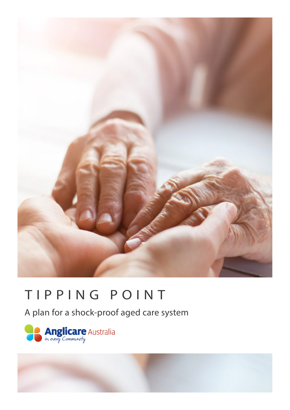

# TIPPING POINT

A plan for a shock-proof aged care system



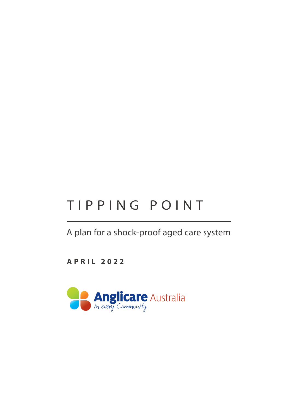# TIPPING POINT

A plan for a shock-proof aged care system

**APRIL 2022**

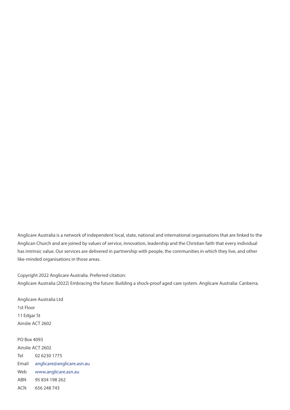Anglicare Australia is a network of independent local, state, national and international organisations that are linked to the Anglican Church and are joined by values of service, innovation, leadership and the Christian faith that every individual has intrinsic value. Our services are delivered in partnership with people, the communities in which they live, and other like-minded organisations in those areas.

Copyright 2022 Anglicare Australia. Preferred citation:

Anglicare Australia (2022) Embracing the future: Building a shock-proof aged care system. Anglicare Australia: Canberra.

Anglicare Australia Ltd 1st Floor 11 Edgar St Ainslie ACT 2602

PO Box 4093 Ainslie ACT 2602 Tel 02 6230 1775 Email anglicare@anglicare.asn.au Web www.anglicare.asn.au ABN 95 834 198 262 ACN 656 248 743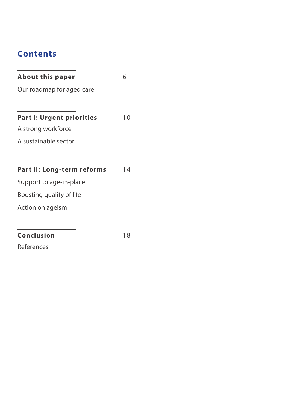# **Contents**

| <b>About this paper</b>          | 6  |
|----------------------------------|----|
| Our roadmap for aged care        |    |
|                                  |    |
| <b>Part I: Urgent priorities</b> | 10 |
| A strong workforce               |    |
| A sustainable sector             |    |
|                                  |    |
| Part II: Long-term reforms       | 14 |
| Support to age-in-place          |    |
| Boosting quality of life         |    |
| Action on ageism                 |    |
|                                  |    |
| <b>Conclusion</b>                | 18 |
| References                       |    |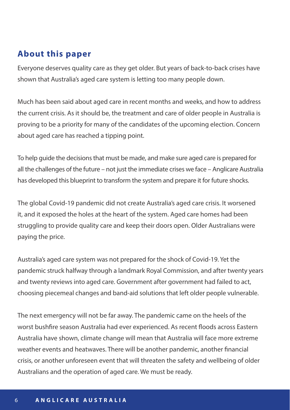## **About this paper**

Everyone deserves quality care as they get older. But years of back-to-back crises have shown that Australia's aged care system is letting too many people down.

Much has been said about aged care in recent months and weeks, and how to address the current crisis. As it should be, the treatment and care of older people in Australia is proving to be a priority for many of the candidates of the upcoming election. Concern about aged care has reached a tipping point.

To help guide the decisions that must be made, and make sure aged care is prepared for all the challenges of the future – not just the immediate crises we face – Anglicare Australia has developed this blueprint to transform the system and prepare it for future shocks.

The global Covid-19 pandemic did not create Australia's aged care crisis. It worsened it, and it exposed the holes at the heart of the system. Aged care homes had been struggling to provide quality care and keep their doors open. Older Australians were paying the price.

Australia's aged care system was not prepared for the shock of Covid-19. Yet the pandemic struck halfway through a landmark Royal Commission, and after twenty years and twenty reviews into aged care. Government after government had failed to act, choosing piecemeal changes and band-aid solutions that left older people vulnerable.

The next emergency will not be far away. The pandemic came on the heels of the worst bushfire season Australia had ever experienced. As recent floods across Eastern Australia have shown, climate change will mean that Australia will face more extreme weather events and heatwaves. There will be another pandemic, another financial crisis, or another unforeseen event that will threaten the safety and wellbeing of older Australians and the operation of aged care. We must be ready.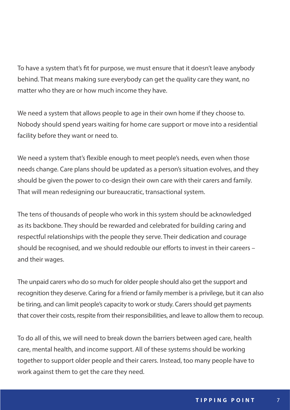To have a system that's fit for purpose, we must ensure that it doesn't leave anybody behind. That means making sure everybody can get the quality care they want, no matter who they are or how much income they have.

We need a system that allows people to age in their own home if they choose to. Nobody should spend years waiting for home care support or move into a residential facility before they want or need to.

We need a system that's flexible enough to meet people's needs, even when those needs change. Care plans should be updated as a person's situation evolves, and they should be given the power to co-design their own care with their carers and family. That will mean redesigning our bureaucratic, transactional system.

The tens of thousands of people who work in this system should be acknowledged as its backbone. They should be rewarded and celebrated for building caring and respectful relationships with the people they serve. Their dedication and courage should be recognised, and we should redouble our efforts to invest in their careers – and their wages.

The unpaid carers who do so much for older people should also get the support and recognition they deserve. Caring for a friend or family member is a privilege, but it can also be tiring, and can limit people's capacity to work or study. Carers should get payments that cover their costs, respite from their responsibilities, and leave to allow them to recoup.

To do all of this, we will need to break down the barriers between aged care, health care, mental health, and income support. All of these systems should be working together to support older people and their carers. Instead, too many people have to work against them to get the care they need.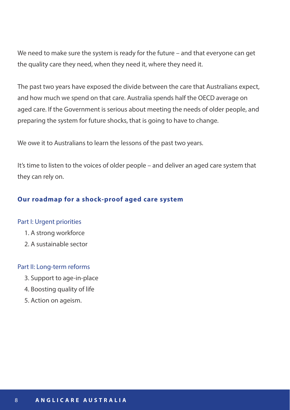We need to make sure the system is ready for the future – and that everyone can get the quality care they need, when they need it, where they need it.

The past two years have exposed the divide between the care that Australians expect, and how much we spend on that care. Australia spends half the OECD average on aged care. If the Government is serious about meeting the needs of older people, and preparing the system for future shocks, that is going to have to change.

We owe it to Australians to learn the lessons of the past two years.

It's time to listen to the voices of older people – and deliver an aged care system that they can rely on.

## **Our roadmap for a shock-proof aged care system**

#### Part I: Urgent priorities

- 1. A strong workforce
- 2. A sustainable sector

#### Part II: Long-term reforms

- 3. Support to age-in-place
- 4. Boosting quality of life
- 5. Action on ageism.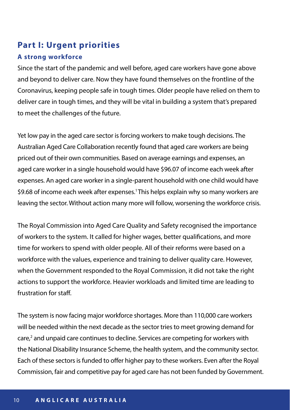## **Part I: Urgent priorities**

### **A strong workforce**

Since the start of the pandemic and well before, aged care workers have gone above and beyond to deliver care. Now they have found themselves on the frontline of the Coronavirus, keeping people safe in tough times. Older people have relied on them to deliver care in tough times, and they will be vital in building a system that's prepared to meet the challenges of the future.

Yet low pay in the aged care sector is forcing workers to make tough decisions. The Australian Aged Care Collaboration recently found that aged care workers are being priced out of their own communities. Based on average earnings and expenses, an aged care worker in a single household would have \$96.07 of income each week after expenses. An aged care worker in a single-parent household with one child would have \$9.68 of income each week after expenses.<sup>1</sup> This helps explain why so many workers are leaving the sector. Without action many more will follow, worsening the workforce crisis.

The Royal Commission into Aged Care Quality and Safety recognised the importance of workers to the system. It called for higher wages, better qualifications, and more time for workers to spend with older people. All of their reforms were based on a workforce with the values, experience and training to deliver quality care. However, when the Government responded to the Royal Commission, it did not take the right actions to support the workforce. Heavier workloads and limited time are leading to frustration for staff.

The system is now facing major workforce shortages. More than 110,000 care workers will be needed within the next decade as the sector tries to meet growing demand for care,2 and unpaid care continues to decline. Services are competing for workers with the National Disability Insurance Scheme, the health system, and the community sector. Each of these sectors is funded to offer higher pay to these workers. Even after the Royal Commission, fair and competitive pay for aged care has not been funded by Government.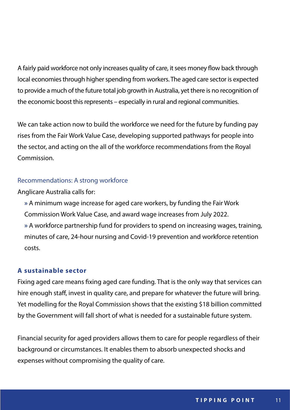A fairly paid workforce not only increases quality of care, it sees money flow back through local economies through higher spending from workers. The aged care sector is expected to provide a much of the future total job growth in Australia, yet there is no recognition of the economic boost this represents – especially in rural and regional communities.

We can take action now to build the workforce we need for the future by funding pay rises from the Fair Work Value Case, developing supported pathways for people into the sector, and acting on the all of the workforce recommendations from the Royal Commission.

### Recommendations: A strong workforce

Anglicare Australia calls for:

**»** A minimum wage increase for aged care workers, by funding the Fair Work Commission Work Value Case, and award wage increases from July 2022. **»** A workforce partnership fund for providers to spend on increasing wages, training, minutes of care, 24-hour nursing and Covid-19 prevention and workforce retention costs.

## **A sustainable sector**

Fixing aged care means fixing aged care funding. That is the only way that services can hire enough staff, invest in quality care, and prepare for whatever the future will bring. Yet modelling for the Royal Commission shows that the existing \$18 billion committed by the Government will fall short of what is needed for a sustainable future system.

Financial security for aged providers allows them to care for people regardless of their background or circumstances. It enables them to absorb unexpected shocks and expenses without compromising the quality of care.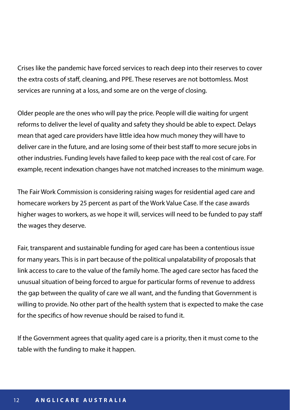Crises like the pandemic have forced services to reach deep into their reserves to cover the extra costs of staff, cleaning, and PPE. These reserves are not bottomless. Most services are running at a loss, and some are on the verge of closing.

Older people are the ones who will pay the price. People will die waiting for urgent reforms to deliver the level of quality and safety they should be able to expect. Delays mean that aged care providers have little idea how much money they will have to deliver care in the future, and are losing some of their best staff to more secure jobs in other industries. Funding levels have failed to keep pace with the real cost of care. For example, recent indexation changes have not matched increases to the minimum wage.

The Fair Work Commission is considering raising wages for residential aged care and homecare workers by 25 percent as part of the Work Value Case. If the case awards higher wages to workers, as we hope it will, services will need to be funded to pay staff the wages they deserve.

Fair, transparent and sustainable funding for aged care has been a contentious issue for many years. This is in part because of the political unpalatability of proposals that link access to care to the value of the family home. The aged care sector has faced the unusual situation of being forced to argue for particular forms of revenue to address the gap between the quality of care we all want, and the funding that Government is willing to provide. No other part of the health system that is expected to make the case for the specifics of how revenue should be raised to fund it.

If the Government agrees that quality aged care is a priority, then it must come to the table with the funding to make it happen.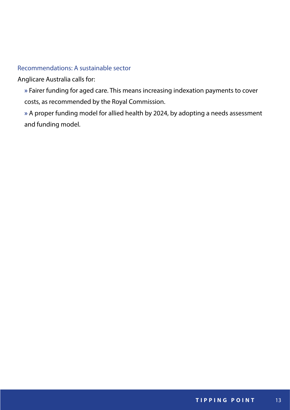### Recommendations: A sustainable sector

## Anglicare Australia calls for:

**»** Fairer funding for aged care. This means increasing indexation payments to cover costs, as recommended by the Royal Commission.

**»** A proper funding model for allied health by 2024, by adopting a needs assessment and funding model.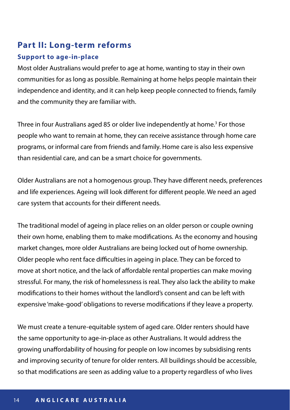# **Part II: Long-term reforms**

## **Support to age-in-place**

Most older Australians would prefer to age at home, wanting to stay in their own communities for as long as possible. Remaining at home helps people maintain their independence and identity, and it can help keep people connected to friends, family and the community they are familiar with.

Three in four Australians aged 85 or older live independently at home.<sup>3</sup> For those people who want to remain at home, they can receive assistance through home care programs, or informal care from friends and family. Home care is also less expensive than residential care, and can be a smart choice for governments.

Older Australians are not a homogenous group. They have different needs, preferences and life experiences. Ageing will look different for different people. We need an aged care system that accounts for their different needs.

The traditional model of ageing in place relies on an older person or couple owning their own home, enabling them to make modifications. As the economy and housing market changes, more older Australians are being locked out of home ownership. Older people who rent face difficulties in ageing in place. They can be forced to move at short notice, and the lack of affordable rental properties can make moving stressful. For many, the risk of homelessness is real. They also lack the ability to make modifications to their homes without the landlord's consent and can be left with expensive 'make-good' obligations to reverse modifications if they leave a property.

We must create a tenure-equitable system of aged care. Older renters should have the same opportunity to age-in-place as other Australians. It would address the growing unaffordability of housing for people on low incomes by subsidising rents and improving security of tenure for older renters. All buildings should be accessible, so that modifications are seen as adding value to a property regardless of who lives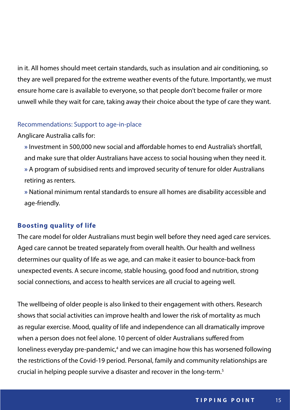in it. All homes should meet certain standards, such as insulation and air conditioning, so they are well prepared for the extreme weather events of the future. Importantly, we must ensure home care is available to everyone, so that people don't become frailer or more unwell while they wait for care, taking away their choice about the type of care they want.

#### Recommendations: Support to age-in-place

#### Anglicare Australia calls for:

**»** Investment in 500,000 new social and affordable homes to end Australia's shortfall, and make sure that older Australians have access to social housing when they need it. **»** A program of subsidised rents and improved security of tenure for older Australians retiring as renters.

**»** National minimum rental standards to ensure all homes are disability accessible and age-friendly.

#### **Boosting quality of life**

The care model for older Australians must begin well before they need aged care services. Aged care cannot be treated separately from overall health. Our health and wellness determines our quality of life as we age, and can make it easier to bounce-back from unexpected events. A secure income, stable housing, good food and nutrition, strong social connections, and access to health services are all crucial to ageing well.

The wellbeing of older people is also linked to their engagement with others. Research shows that social activities can improve health and lower the risk of mortality as much as regular exercise. Mood, quality of life and independence can all dramatically improve when a person does not feel alone. 10 percent of older Australians suffered from loneliness everyday pre-pandemic,<sup>4</sup> and we can imagine how this has worsened following the restrictions of the Covid-19 period. Personal, family and community relationships are crucial in helping people survive a disaster and recover in the long-term.5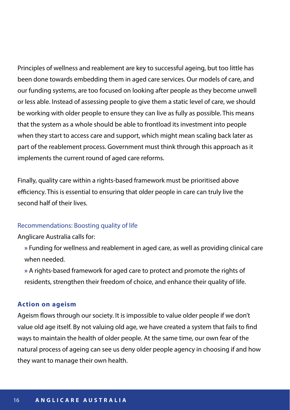Principles of wellness and reablement are key to successful ageing, but too little has been done towards embedding them in aged care services. Our models of care, and our funding systems, are too focused on looking after people as they become unwell or less able. Instead of assessing people to give them a static level of care, we should be working with older people to ensure they can live as fully as possible. This means that the system as a whole should be able to frontload its investment into people when they start to access care and support, which might mean scaling back later as part of the reablement process. Government must think through this approach as it implements the current round of aged care reforms.

Finally, quality care within a rights-based framework must be prioritised above efficiency. This is essential to ensuring that older people in care can truly live the second half of their lives.

#### Recommendations: Boosting quality of life

#### Anglicare Australia calls for:

**»** Funding for wellness and reablement in aged care, as well as providing clinical care when needed.

**»** A rights-based framework for aged care to protect and promote the rights of residents, strengthen their freedom of choice, and enhance their quality of life.

#### **Action on ageism**

Ageism flows through our society. It is impossible to value older people if we don't value old age itself. By not valuing old age, we have created a system that fails to find ways to maintain the health of older people. At the same time, our own fear of the natural process of ageing can see us deny older people agency in choosing if and how they want to manage their own health.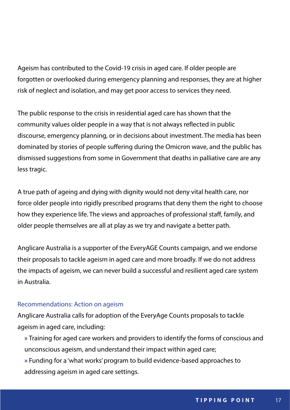Ageism has contributed to the Covid-19 crisis in aged care. If older people are forgotten or overlooked during emergency planning and responses, they are at higher risk of neglect and isolation, and may get poor access to services they need.

The public response to the crisis in residential aged care has shown that the community values older people in a way that is not always reflected in public discourse, emergency planning, or in decisions about investment. The media has been dominated by stories of people suffering during the Omicron wave, and the public has dismissed suggestions from some in Government that deaths in palliative care are any less tragic.

A true path of ageing and dying with dignity would not deny vital health care, nor force older people into rigidly prescribed programs that deny them the right to choose how they experience life. The views and approaches of professional staff, family, and older people themselves are all at play as we try and navigate a better path.

Anglicare Australia is a supporter of the EveryAGE Counts campaign, and we endorse their proposals to tackle ageism in aged care and more broadly. If we do not address the impacts of ageism, we can never build a successful and resilient aged care system in Australia.

## Recommendations: Action on ageism

Anglicare Australia calls for adoption of the EveryAge Counts proposals to tackle ageism in aged care, including:

- **»** Training for aged care workers and providers to identify the forms of conscious and unconscious ageism, and understand their impact within aged care; **»** Funding for a 'what works' program to build evidence-based approaches to
- addressing ageism in aged care settings.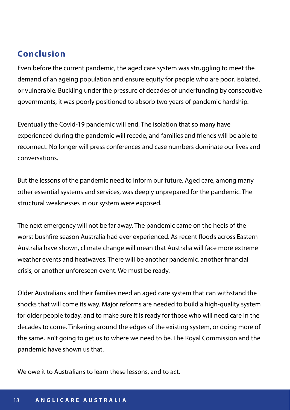## **Conclusion**

Even before the current pandemic, the aged care system was struggling to meet the demand of an ageing population and ensure equity for people who are poor, isolated, or vulnerable. Buckling under the pressure of decades of underfunding by consecutive governments, it was poorly positioned to absorb two years of pandemic hardship.

Eventually the Covid-19 pandemic will end. The isolation that so many have experienced during the pandemic will recede, and families and friends will be able to reconnect. No longer will press conferences and case numbers dominate our lives and conversations.

But the lessons of the pandemic need to inform our future. Aged care, among many other essential systems and services, was deeply unprepared for the pandemic. The structural weaknesses in our system were exposed.

The next emergency will not be far away. The pandemic came on the heels of the worst bushfire season Australia had ever experienced. As recent floods across Eastern Australia have shown, climate change will mean that Australia will face more extreme weather events and heatwaves. There will be another pandemic, another financial crisis, or another unforeseen event. We must be ready.

Older Australians and their families need an aged care system that can withstand the shocks that will come its way. Major reforms are needed to build a high-quality system for older people today, and to make sure it is ready for those who will need care in the decades to come. Tinkering around the edges of the existing system, or doing more of the same, isn't going to get us to where we need to be. The Royal Commission and the pandemic have shown us that.

We owe it to Australians to learn these lessons, and to act.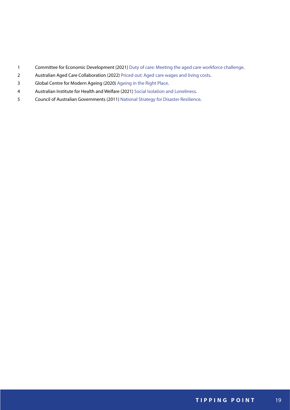- Committee for Economic Development (2021) [Duty of care: Meeting the aged care workforce challenge](https://www.ceda.com.au/ResearchAndPolicies/Research/Health-Ageing/Duty-of-care-Meeting-the-aged-care-workforce-chall).
- Australian Aged Care Collaboration (2022) [Priced out: Aged care wages and living costs.](https://lasa.asn.au/wp-content/uploads/2022/03/AACC-Living-Costs-Analysis-FINAL.pdf)
- Global Centre for Modern Ageing (2020) [Ageing in the Right Place.](https://www.gcma.net.au/request-ageing-in-the-right-place-report)
- Australian Institute for Health and Welfare (2021) [Social Isolation and Loneliness](https://www.aihw.gov.au/reports/australias-welfare/social-isolation-and-loneliness-covid-pandemic).
- Council of Australian Governments (2011) [National Strategy for Disaster Resilience.](https://www.homeaffairs.gov.au/emergency/files/national-strategy-disaster-resilience.pdf)